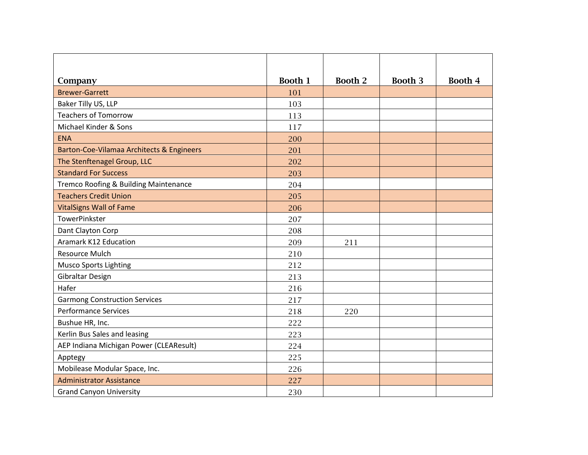| Company                                   | Booth 1 | <b>Booth 2</b> | Booth 3 | Booth 4 |
|-------------------------------------------|---------|----------------|---------|---------|
| <b>Brewer-Garrett</b>                     | 101     |                |         |         |
| Baker Tilly US, LLP                       | 103     |                |         |         |
| <b>Teachers of Tomorrow</b>               | 113     |                |         |         |
| Michael Kinder & Sons                     | 117     |                |         |         |
| <b>ENA</b>                                | 200     |                |         |         |
| Barton-Coe-Vilamaa Architects & Engineers | 201     |                |         |         |
| The Stenftenagel Group, LLC               | 202     |                |         |         |
| <b>Standard For Success</b>               | 203     |                |         |         |
| Tremco Roofing & Building Maintenance     | 204     |                |         |         |
| <b>Teachers Credit Union</b>              | 205     |                |         |         |
| <b>VitalSigns Wall of Fame</b>            | 206     |                |         |         |
| <b>TowerPinkster</b>                      | 207     |                |         |         |
| Dant Clayton Corp                         | 208     |                |         |         |
| Aramark K12 Education                     | 209     | 211            |         |         |
| <b>Resource Mulch</b>                     | 210     |                |         |         |
| <b>Musco Sports Lighting</b>              | 212     |                |         |         |
| Gibraltar Design                          | 213     |                |         |         |
| Hafer                                     | 216     |                |         |         |
| <b>Garmong Construction Services</b>      | 217     |                |         |         |
| <b>Performance Services</b>               | 218     | 220            |         |         |
| Bushue HR, Inc.                           | 222     |                |         |         |
| Kerlin Bus Sales and leasing              | 223     |                |         |         |
| AEP Indiana Michigan Power (CLEAResult)   | 224     |                |         |         |
| Apptegy                                   | 225     |                |         |         |
| Mobilease Modular Space, Inc.             | 226     |                |         |         |
| <b>Administrator Assistance</b>           | 227     |                |         |         |
| <b>Grand Canyon University</b>            | 230     |                |         |         |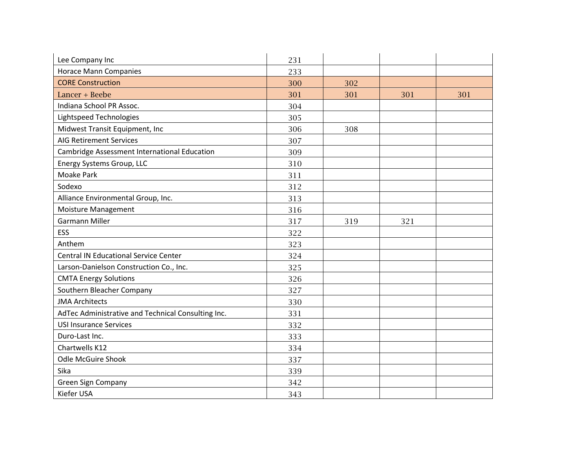| Lee Company Inc                                    | 231 |     |     |     |
|----------------------------------------------------|-----|-----|-----|-----|
| <b>Horace Mann Companies</b>                       | 233 |     |     |     |
| <b>CORE Construction</b>                           | 300 | 302 |     |     |
| Lancer + Beebe                                     | 301 | 301 | 301 | 301 |
| Indiana School PR Assoc.                           | 304 |     |     |     |
| <b>Lightspeed Technologies</b>                     | 305 |     |     |     |
| Midwest Transit Equipment, Inc                     | 306 | 308 |     |     |
| <b>AIG Retirement Services</b>                     | 307 |     |     |     |
| Cambridge Assessment International Education       | 309 |     |     |     |
| Energy Systems Group, LLC                          | 310 |     |     |     |
| <b>Moake Park</b>                                  | 311 |     |     |     |
| Sodexo                                             | 312 |     |     |     |
| Alliance Environmental Group, Inc.                 | 313 |     |     |     |
| <b>Moisture Management</b>                         | 316 |     |     |     |
| <b>Garmann Miller</b>                              | 317 | 319 | 321 |     |
| <b>ESS</b>                                         | 322 |     |     |     |
| Anthem                                             | 323 |     |     |     |
| <b>Central IN Educational Service Center</b>       | 324 |     |     |     |
| Larson-Danielson Construction Co., Inc.            | 325 |     |     |     |
| <b>CMTA Energy Solutions</b>                       | 326 |     |     |     |
| Southern Bleacher Company                          | 327 |     |     |     |
| <b>JMA Architects</b>                              | 330 |     |     |     |
| AdTec Administrative and Technical Consulting Inc. | 331 |     |     |     |
| <b>USI Insurance Services</b>                      | 332 |     |     |     |
| Duro-Last Inc.                                     | 333 |     |     |     |
| Chartwells K12                                     | 334 |     |     |     |
| <b>Odle McGuire Shook</b>                          | 337 |     |     |     |
| Sika                                               | 339 |     |     |     |
| <b>Green Sign Company</b>                          | 342 |     |     |     |
| Kiefer USA                                         | 343 |     |     |     |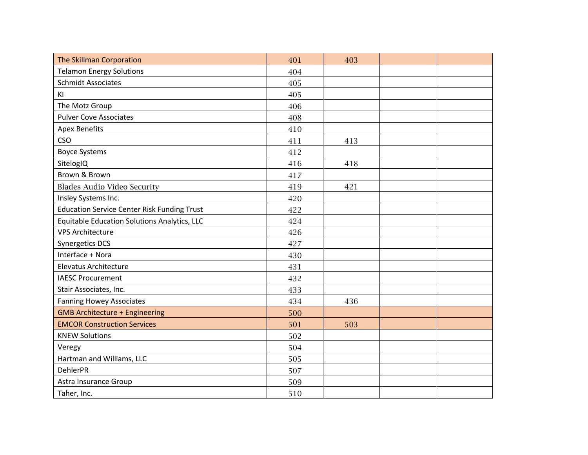| The Skillman Corporation                           | 401 | 403 |  |
|----------------------------------------------------|-----|-----|--|
| <b>Telamon Energy Solutions</b>                    | 404 |     |  |
| <b>Schmidt Associates</b>                          | 405 |     |  |
| KI                                                 | 405 |     |  |
| The Motz Group                                     | 406 |     |  |
| <b>Pulver Cove Associates</b>                      | 408 |     |  |
| <b>Apex Benefits</b>                               | 410 |     |  |
| <b>CSO</b>                                         | 411 | 413 |  |
| <b>Boyce Systems</b>                               | 412 |     |  |
| SitelogIQ                                          | 416 | 418 |  |
| Brown & Brown                                      | 417 |     |  |
| <b>Blades Audio Video Security</b>                 | 419 | 421 |  |
| Insley Systems Inc.                                | 420 |     |  |
| <b>Education Service Center Risk Funding Trust</b> | 422 |     |  |
| Equitable Education Solutions Analytics, LLC       | 424 |     |  |
| <b>VPS Architecture</b>                            | 426 |     |  |
| Synergetics DCS                                    | 427 |     |  |
| Interface + Nora                                   | 430 |     |  |
| <b>Elevatus Architecture</b>                       | 431 |     |  |
| <b>IAESC Procurement</b>                           | 432 |     |  |
| Stair Associates, Inc.                             | 433 |     |  |
| <b>Fanning Howey Associates</b>                    | 434 | 436 |  |
| <b>GMB Architecture + Engineering</b>              | 500 |     |  |
| <b>EMCOR Construction Services</b>                 | 501 | 503 |  |
| <b>KNEW Solutions</b>                              | 502 |     |  |
| Veregy                                             | 504 |     |  |
| Hartman and Williams, LLC                          | 505 |     |  |
| <b>DehlerPR</b>                                    | 507 |     |  |
| Astra Insurance Group                              | 509 |     |  |
| Taher, Inc.                                        | 510 |     |  |